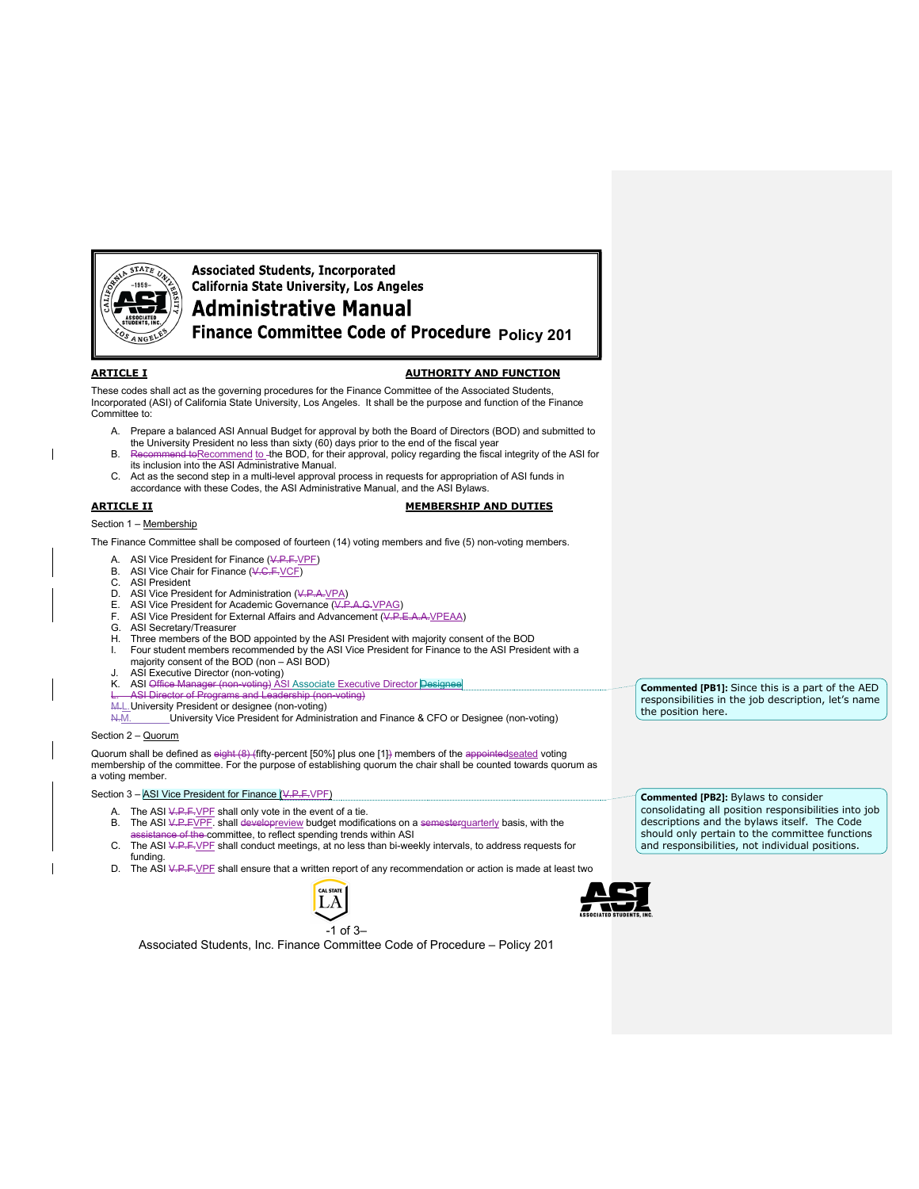

**Associated Students, Incorporated** California State University, Los Angeles **Administrative Manual** 

**Finance Committee Code of Procedure Policy 201** 

**ARTICLE I AUTHORITY AND FUNCTION**

These codes shall act as the governing procedures for the Finance Committee of the Associated Students, Incorporated (ASI) of California State University, Los Angeles. It shall be the purpose and function of the Finance Committee to:

- A. Prepare a balanced ASI Annual Budget for approval by both the Board of Directors (BOD) and submitted to the University President no less than sixty (60) days prior to the end of the fiscal year
- B. Recommend toRecommend to the BOD, for their approval, policy regarding the fiscal integrity of the ASI for its inclusion into the ASI Administrative Manual.
- C. Act as the second step in a multi-level approval process in requests for appropriation of ASI funds in accordance with these Codes, the ASI Administrative Manual, and the ASI Bylaws.

a k

# **ARTICLE II MEMBERSHIP AND DUTIES**

# Section 1 – Membership

The Finance Committee shall be composed of fourteen (14) voting members and five (5) non-voting members.

- A. ASI Vice President for Finance (V.P.F.VPF)
- B. ASI Vice Chair for Finance (<del>V.C.F. VCF</del>)<br>C. ASI President
- C. ASI President<br>D. ASI Vice Presi
- ASI Vice President for Administration (V.P.A.VPA)
- E. ASI Vice President for Academic Governance  $(\sqrt{P.A.G.} \vee PAG)$ <br>F. ASI Vice President for External Affairs and Advancement ( $\vee P.A$
- ASI Vice President for External Affairs and Advancement (V.P.E.A.A.VPEAA)
- G. ASI Secretary/Treasurer
- H. Three members of the BOD appointed by the ASI President with majority consent of the BOD I. Four student members recommended by the ASI Vice President for Finance to the ASI President with a majority consent of the BOD (non – ASI BOD)
- J. ASI Executive Director (non-voting)<br>K. ASI Office Manager (non-voting) AS
- ASI Office Manager (non-voting) ASI Associate Executive Director Designee
- ASI Director of Programs and Leadership (nor
- M.L.University President or designee (non-voting)<br>N.M. University Vice President for Adminis University Vice President for Administration and Finance & CFO or Designee (non-voting)

### Section 2 - Quorum

Quorum shall be defined as eight (8) (fifty-percent [50%] plus one [1]) members of the appointedseated voting membership of the committee. For the purpose of establishing quorum the chair shall be counted towards quorum as a voting member.

# Section 3 – ASI Vice President for Finance (V.P.F.VPF)

- A. The ASI V.P.F. VPF shall only vote in the event of a tie. B. The ASI V.P. FVPF. shall developreview budget modifications on a semesterquarterly basis, with the
- assistance of the committee, to reflect spending trends within ASI
- C. The ASI V.P.F.VPF shall conduct meetings, at no less than bi-weekly intervals, to address requests for funding.
- D. The ASI V.P.F.VPF shall ensure that a written report of any recommendation or action is made at least two





Associated Students, Inc. Finance Committee Code of Procedure – Policy 201

**Commented [PB2]:** Bylaws to consider consolidating all position responsibilities into job descriptions and the bylaws itself. The Code should only pertain to the committee functions and responsibilities, not individual positions.

**Commented [PB1]:** Since this is a part of the AED responsibilities in the job description, let's name

the position here.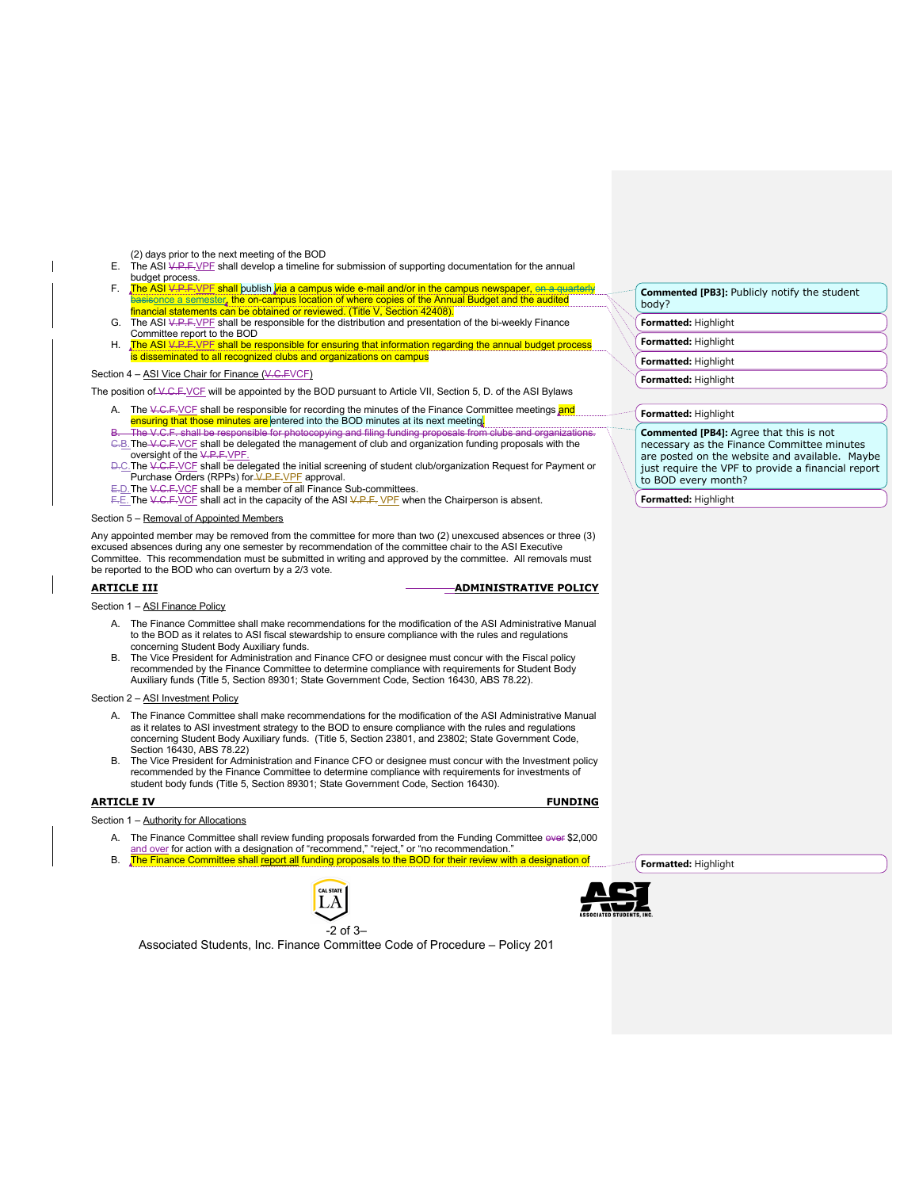(2) days prior to the next meeting of the BOD

E. The ASI V.P.F.VPF shall develop a timeline for submission of supporting documentation for the annual budget process.

- F. The ASI V.P.F.VPE shall publish <mark>via a campus wide e-mail and/or in the campus newspaper, en a quarterly.</mark><br>Dasisonce a semester, the on-campus location of where copies of the Annual Budget and the audited<br>financial stat
- G. The ASI V.P.F. VPF shall be responsible for the distribution and presentation of the bi-weekly Finance Committee report to the BOD
- H. The ASI V.P.F.VPF shall be responsible for ensuring that information regarding the annual budget process s disseminated to all recognized clubs and organizations on campus

### Section 4 - ASI Vice Chair for Finance (V.C.FVCF)

The position of V.C.F.VCF will be appointed by the BOD pursuant to Article VII, Section 5, D. of the ASI Bylaws

- A. The <del>V.C.F.VCF</del> shall be responsible for recording the minutes of the Finance Committee meetings and ensuring that those minutes are entered into the BOD minutes at its next meeting.
- 
- B. The V.C.F. shall be responsible for photocopying and filing funding proposals from clubs and organizations.<br>C.<u>B.</u>The V.C.F.VCF shall be delegated the management of club and organization funding proposals with the oversight of the V.P.F.VPF.
- <u>D.C.</u>The <del>V.C.F.</del>VCF shall be delegated the initial screening of student club/organization Request for Payment or<br>Purchase Orders (RPPs) for <del>V.P.F.</del>VPF approval.
- E.D. The V.C.F.VCF shall be a member of all Finance Sub-committees.
- F.E. The V.C.F. VCF shall act in the capacity of the ASI V.P.F. VPF when the Chairperson is absent.

## Section 5 – Removal of Appointed Members

Any appointed member may be removed from the committee for more than two (2) unexcused absences or three (3) excused absences during any one semester by recommendation of the committee chair to the ASI Executive Committee. This recommendation must be submitted in writing and approved by the committee. All removals must be reported to the BOD who can overturn by a 2/3 vote.

**ARTICLE III ADMINISTRATIVE POLICY**

# Section 1 - ASI Finance Policy

- A. The Finance Committee shall make recommendations for the modification of the ASI Administrative Manual to the BOD as it relates to ASI fiscal stewardship to ensure compliance with the rules and regulations concerning Student Body Auxiliary funds.
- B. The Vice President for Administration and Finance CFO or designee must concur with the Fiscal policy recommended by the Finance Committee to determine compliance with requirements for Student Body Auxiliary funds (Title 5, Section 89301; State Government Code, Section 16430, ABS 78.22).

### Section 2 – ASI Investment Policy

- A. The Finance Committee shall make recommendations for the modification of the ASI Administrative Manual as it relates to ASI investment strategy to the BOD to ensure compliance with the rules and regulations concerning Student Body Auxiliary funds. (Title 5, Section 23801, and 23802; State Government Code, Section 16430, ABS 78.22)
- The Vice President for Administration and Finance CFO or designee must concur with the Investment policy recommended by the Finance Committee to determine compliance with requirements for investments of student body funds (Title 5, Section 89301; State Government Code, Section 16430).

**ARTICLE IV FUNDING**

### Section 1 – Authority for Allocations

- A. The Finance Committee shall review funding proposals forwarded from the Funding Committee ever \$2,000
- and over for action with a designation of "recommend," "reject," or "no recommendation."<br>B. The Finance Committee shall <u>report all</u> funding proposals to the BOD for their review with a designation of





Associated Students, Inc. Finance Committee Code of Procedure – Policy 201

**Commented [PB3]:** Publicly notify the student body?

**Formatted:** Highlight

**Formatted:** Highlight

**Formatted:** Highlight

**Formatted:** Highlight

**Formatted:** Highlight

**Commented [PB4]:** Agree that this is not necessary as the Finance Committee minutes are posted on the website and available. Maybe just require the VPF to provide a financial report to BOD every month?

**Formatted:** Highlight

**Formatted:** Highlight